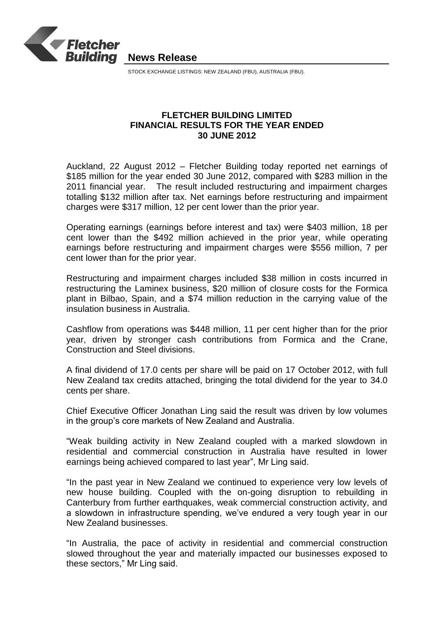

STOCK EXCHANGE LISTINGS: NEW ZEALAND (FBU), AUSTRALIA (FBU).

# **FLETCHER BUILDING LIMITED FINANCIAL RESULTS FOR THE YEAR ENDED 30 JUNE 2012**

Auckland, 22 August 2012 – Fletcher Building today reported net earnings of \$185 million for the year ended 30 June 2012, compared with \$283 million in the 2011 financial year. The result included restructuring and impairment charges totalling \$132 million after tax. Net earnings before restructuring and impairment charges were \$317 million, 12 per cent lower than the prior year.

Operating earnings (earnings before interest and tax) were \$403 million, 18 per cent lower than the \$492 million achieved in the prior year, while operating earnings before restructuring and impairment charges were \$556 million, 7 per cent lower than for the prior year.

Restructuring and impairment charges included \$38 million in costs incurred in restructuring the Laminex business, \$20 million of closure costs for the Formica plant in Bilbao, Spain, and a \$74 million reduction in the carrying value of the insulation business in Australia.

Cashflow from operations was \$448 million, 11 per cent higher than for the prior year, driven by stronger cash contributions from Formica and the Crane, Construction and Steel divisions.

A final dividend of 17.0 cents per share will be paid on 17 October 2012, with full New Zealand tax credits attached, bringing the total dividend for the year to 34.0 cents per share.

Chief Executive Officer Jonathan Ling said the result was driven by low volumes in the group's core markets of New Zealand and Australia.

"Weak building activity in New Zealand coupled with a marked slowdown in residential and commercial construction in Australia have resulted in lower earnings being achieved compared to last year", Mr Ling said.

"In the past year in New Zealand we continued to experience very low levels of new house building. Coupled with the on-going disruption to rebuilding in Canterbury from further earthquakes, weak commercial construction activity, and a slowdown in infrastructure spending, we've endured a very tough year in our New Zealand businesses.

"In Australia, the pace of activity in residential and commercial construction slowed throughout the year and materially impacted our businesses exposed to these sectors," Mr Ling said.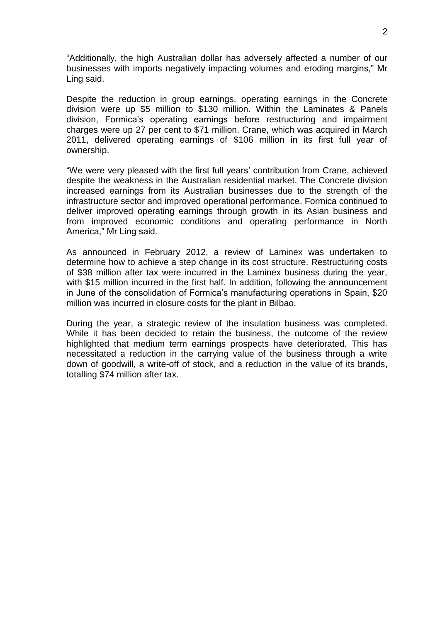"Additionally, the high Australian dollar has adversely affected a number of our businesses with imports negatively impacting volumes and eroding margins," Mr Ling said.

Despite the reduction in group earnings, operating earnings in the Concrete division were up \$5 million to \$130 million. Within the Laminates & Panels division, Formica's operating earnings before restructuring and impairment charges were up 27 per cent to \$71 million. Crane, which was acquired in March 2011, delivered operating earnings of \$106 million in its first full year of ownership.

"We were very pleased with the first full years' contribution from Crane, achieved despite the weakness in the Australian residential market. The Concrete division increased earnings from its Australian businesses due to the strength of the infrastructure sector and improved operational performance. Formica continued to deliver improved operating earnings through growth in its Asian business and from improved economic conditions and operating performance in North America," Mr Ling said.

As announced in February 2012, a review of Laminex was undertaken to determine how to achieve a step change in its cost structure. Restructuring costs of \$38 million after tax were incurred in the Laminex business during the year, with \$15 million incurred in the first half. In addition, following the announcement in June of the consolidation of Formica's manufacturing operations in Spain, \$20 million was incurred in closure costs for the plant in Bilbao.

During the year, a strategic review of the insulation business was completed. While it has been decided to retain the business, the outcome of the review highlighted that medium term earnings prospects have deteriorated. This has necessitated a reduction in the carrying value of the business through a write down of goodwill, a write-off of stock, and a reduction in the value of its brands, totalling \$74 million after tax.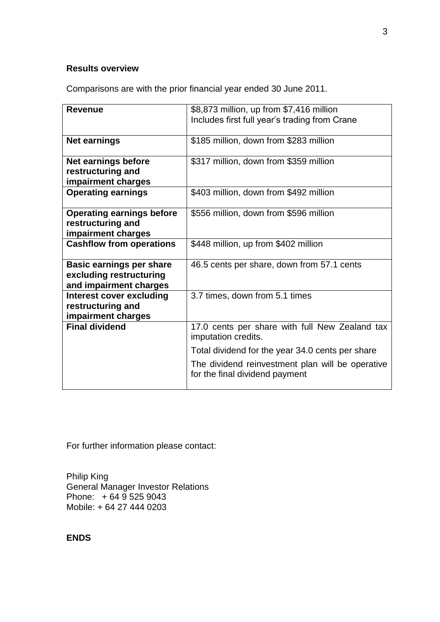# **Results overview**

Comparisons are with the prior financial year ended 30 June 2011.

| <b>Revenue</b>                                                                       | \$8,873 million, up from \$7,416 million<br>Includes first full year's trading from Crane |
|--------------------------------------------------------------------------------------|-------------------------------------------------------------------------------------------|
| <b>Net earnings</b>                                                                  | \$185 million, down from \$283 million                                                    |
| <b>Net earnings before</b><br>restructuring and<br>impairment charges                | \$317 million, down from \$359 million                                                    |
| <b>Operating earnings</b>                                                            | \$403 million, down from \$492 million                                                    |
| <b>Operating earnings before</b><br>restructuring and<br>impairment charges          | \$556 million, down from \$596 million                                                    |
| <b>Cashflow from operations</b>                                                      | \$448 million, up from \$402 million                                                      |
| <b>Basic earnings per share</b><br>excluding restructuring<br>and impairment charges | 46.5 cents per share, down from 57.1 cents                                                |
| <b>Interest cover excluding</b><br>restructuring and<br>impairment charges           | 3.7 times, down from 5.1 times                                                            |
| <b>Final dividend</b>                                                                | 17.0 cents per share with full New Zealand tax<br>imputation credits.                     |
|                                                                                      | Total dividend for the year 34.0 cents per share                                          |
|                                                                                      | The dividend reinvestment plan will be operative<br>for the final dividend payment        |

For further information please contact:

Philip King General Manager Investor Relations Phone: + 64 9 525 9043 Mobile: + 64 27 444 0203

# **ENDS**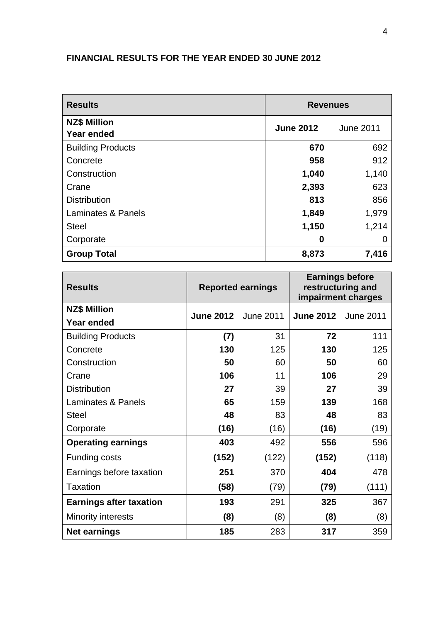# **FINANCIAL RESULTS FOR THE YEAR ENDED 30 JUNE 2012**

| <b>Results</b>                           | <b>Revenues</b>  |                  |
|------------------------------------------|------------------|------------------|
| <b>NZ\$ Million</b><br><b>Year ended</b> | <b>June 2012</b> | <b>June 2011</b> |
| <b>Building Products</b>                 | 670              | 692              |
| Concrete                                 | 958              | 912              |
| Construction                             | 1,040            | 1,140            |
| Crane                                    | 2,393            | 623              |
| <b>Distribution</b>                      | 813              | 856              |
| Laminates & Panels                       | 1,849            | 1,979            |
| <b>Steel</b>                             | 1,150            | 1,214            |
| Corporate                                | 0                | 0                |
| <b>Group Total</b>                       | 8,873            | 7,416            |

| <b>Results</b>                 |       | <b>Reported earnings</b>   | <b>Earnings before</b><br>restructuring and<br>impairment charges |       |  |
|--------------------------------|-------|----------------------------|-------------------------------------------------------------------|-------|--|
| <b>NZ\$ Million</b>            |       | <b>June 2012</b> June 2011 | <b>June 2012</b> June 2011                                        |       |  |
| <b>Year ended</b>              |       |                            |                                                                   |       |  |
| <b>Building Products</b>       | (7)   | 31                         | 72                                                                | 111   |  |
| Concrete                       | 130   | 125                        | 130                                                               | 125   |  |
| Construction                   | 50    | 60                         | 50                                                                | 60    |  |
| Crane                          | 106   | 11                         | 106                                                               | 29    |  |
| <b>Distribution</b>            | 27    | 39                         | 27                                                                | 39    |  |
| Laminates & Panels             | 65    | 159                        | 139                                                               | 168   |  |
| <b>Steel</b>                   | 48    | 83                         | 48                                                                | 83    |  |
| Corporate                      | (16)  | (16)                       | (16)                                                              | (19)  |  |
| <b>Operating earnings</b>      | 403   | 492                        | 556                                                               | 596   |  |
| Funding costs                  | (152) | (122)                      | (152)                                                             | (118) |  |
| Earnings before taxation       | 251   | 370                        | 404                                                               | 478   |  |
| <b>Taxation</b>                | (58)  | (79)                       | (79)                                                              | (111) |  |
| <b>Earnings after taxation</b> | 193   | 291                        | 325                                                               | 367   |  |
| <b>Minority interests</b>      | (8)   | (8)                        | (8)                                                               | (8)   |  |
| <b>Net earnings</b>            | 185   | 283                        | 317                                                               | 359   |  |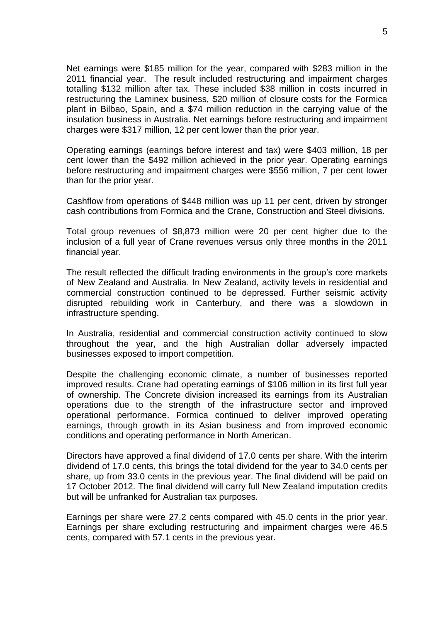Net earnings were \$185 million for the year, compared with \$283 million in the 2011 financial year. The result included restructuring and impairment charges totalling \$132 million after tax. These included \$38 million in costs incurred in restructuring the Laminex business, \$20 million of closure costs for the Formica plant in Bilbao, Spain, and a \$74 million reduction in the carrying value of the insulation business in Australia. Net earnings before restructuring and impairment charges were \$317 million, 12 per cent lower than the prior year.

Operating earnings (earnings before interest and tax) were \$403 million, 18 per cent lower than the \$492 million achieved in the prior year. Operating earnings before restructuring and impairment charges were \$556 million, 7 per cent lower than for the prior year.

Cashflow from operations of \$448 million was up 11 per cent, driven by stronger cash contributions from Formica and the Crane, Construction and Steel divisions.

Total group revenues of \$8,873 million were 20 per cent higher due to the inclusion of a full year of Crane revenues versus only three months in the 2011 financial year.

The result reflected the difficult trading environments in the group's core markets of New Zealand and Australia. In New Zealand, activity levels in residential and commercial construction continued to be depressed. Further seismic activity disrupted rebuilding work in Canterbury, and there was a slowdown in infrastructure spending.

In Australia, residential and commercial construction activity continued to slow throughout the year, and the high Australian dollar adversely impacted businesses exposed to import competition.

Despite the challenging economic climate, a number of businesses reported improved results. Crane had operating earnings of \$106 million in its first full year of ownership. The Concrete division increased its earnings from its Australian operations due to the strength of the infrastructure sector and improved operational performance. Formica continued to deliver improved operating earnings, through growth in its Asian business and from improved economic conditions and operating performance in North American.

Directors have approved a final dividend of 17.0 cents per share. With the interim dividend of 17.0 cents, this brings the total dividend for the year to 34.0 cents per share, up from 33.0 cents in the previous year. The final dividend will be paid on 17 October 2012. The final dividend will carry full New Zealand imputation credits but will be unfranked for Australian tax purposes.

Earnings per share were 27.2 cents compared with 45.0 cents in the prior year. Earnings per share excluding restructuring and impairment charges were 46.5 cents, compared with 57.1 cents in the previous year.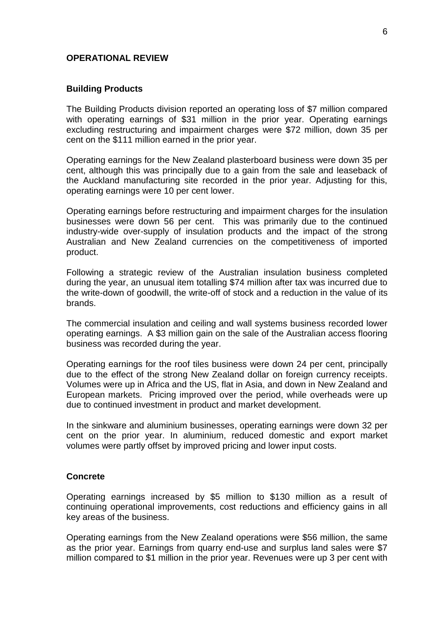### **OPERATIONAL REVIEW**

### **Building Products**

The Building Products division reported an operating loss of \$7 million compared with operating earnings of \$31 million in the prior year. Operating earnings excluding restructuring and impairment charges were \$72 million, down 35 per cent on the \$111 million earned in the prior year.

Operating earnings for the New Zealand plasterboard business were down 35 per cent, although this was principally due to a gain from the sale and leaseback of the Auckland manufacturing site recorded in the prior year. Adjusting for this, operating earnings were 10 per cent lower.

Operating earnings before restructuring and impairment charges for the insulation businesses were down 56 per cent. This was primarily due to the continued industry-wide over-supply of insulation products and the impact of the strong Australian and New Zealand currencies on the competitiveness of imported product.

Following a strategic review of the Australian insulation business completed during the year, an unusual item totalling \$74 million after tax was incurred due to the write-down of goodwill, the write-off of stock and a reduction in the value of its brands.

The commercial insulation and ceiling and wall systems business recorded lower operating earnings. A \$3 million gain on the sale of the Australian access flooring business was recorded during the year.

Operating earnings for the roof tiles business were down 24 per cent, principally due to the effect of the strong New Zealand dollar on foreign currency receipts. Volumes were up in Africa and the US, flat in Asia, and down in New Zealand and European markets. Pricing improved over the period, while overheads were up due to continued investment in product and market development.

In the sinkware and aluminium businesses, operating earnings were down 32 per cent on the prior year. In aluminium, reduced domestic and export market volumes were partly offset by improved pricing and lower input costs.

### **Concrete**

Operating earnings increased by \$5 million to \$130 million as a result of continuing operational improvements, cost reductions and efficiency gains in all key areas of the business.

Operating earnings from the New Zealand operations were \$56 million, the same as the prior year. Earnings from quarry end-use and surplus land sales were \$7 million compared to \$1 million in the prior year. Revenues were up 3 per cent with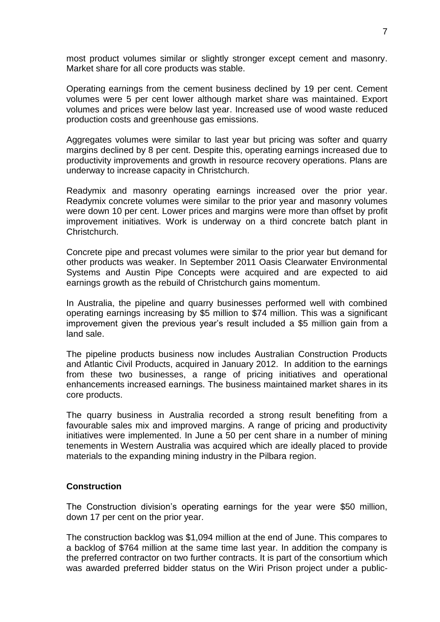most product volumes similar or slightly stronger except cement and masonry. Market share for all core products was stable.

Operating earnings from the cement business declined by 19 per cent. Cement volumes were 5 per cent lower although market share was maintained. Export volumes and prices were below last year. Increased use of wood waste reduced production costs and greenhouse gas emissions.

Aggregates volumes were similar to last year but pricing was softer and quarry margins declined by 8 per cent. Despite this, operating earnings increased due to productivity improvements and growth in resource recovery operations. Plans are underway to increase capacity in Christchurch.

Readymix and masonry operating earnings increased over the prior year. Readymix concrete volumes were similar to the prior year and masonry volumes were down 10 per cent. Lower prices and margins were more than offset by profit improvement initiatives. Work is underway on a third concrete batch plant in Christchurch.

Concrete pipe and precast volumes were similar to the prior year but demand for other products was weaker. In September 2011 Oasis Clearwater Environmental Systems and Austin Pipe Concepts were acquired and are expected to aid earnings growth as the rebuild of Christchurch gains momentum.

In Australia, the pipeline and quarry businesses performed well with combined operating earnings increasing by \$5 million to \$74 million. This was a significant improvement given the previous year's result included a \$5 million gain from a land sale.

The pipeline products business now includes Australian Construction Products and Atlantic Civil Products, acquired in January 2012. In addition to the earnings from these two businesses, a range of pricing initiatives and operational enhancements increased earnings. The business maintained market shares in its core products.

The quarry business in Australia recorded a strong result benefiting from a favourable sales mix and improved margins. A range of pricing and productivity initiatives were implemented. In June a 50 per cent share in a number of mining tenements in Western Australia was acquired which are ideally placed to provide materials to the expanding mining industry in the Pilbara region.

### **Construction**

The Construction division's operating earnings for the year were \$50 million, down 17 per cent on the prior year.

The construction backlog was \$1,094 million at the end of June. This compares to a backlog of \$764 million at the same time last year. In addition the company is the preferred contractor on two further contracts. It is part of the consortium which was awarded preferred bidder status on the Wiri Prison project under a public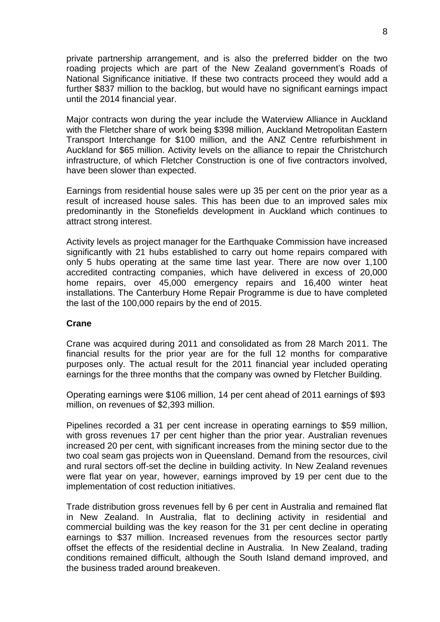private partnership arrangement, and is also the preferred bidder on the two roading projects which are part of the New Zealand government's Roads of National Significance initiative. If these two contracts proceed they would add a further \$837 million to the backlog, but would have no significant earnings impact until the 2014 financial year.

Major contracts won during the year include the Waterview Alliance in Auckland with the Fletcher share of work being \$398 million, Auckland Metropolitan Eastern Transport Interchange for \$100 million, and the ANZ Centre refurbishment in Auckland for \$65 million. Activity levels on the alliance to repair the Christchurch infrastructure, of which Fletcher Construction is one of five contractors involved, have been slower than expected.

Earnings from residential house sales were up 35 per cent on the prior year as a result of increased house sales. This has been due to an improved sales mix predominantly in the Stonefields development in Auckland which continues to attract strong interest.

Activity levels as project manager for the Earthquake Commission have increased significantly with 21 hubs established to carry out home repairs compared with only 5 hubs operating at the same time last year. There are now over 1,100 accredited contracting companies, which have delivered in excess of 20,000 home repairs, over 45,000 emergency repairs and 16,400 winter heat installations. The Canterbury Home Repair Programme is due to have completed the last of the 100,000 repairs by the end of 2015.

### **Crane**

Crane was acquired during 2011 and consolidated as from 28 March 2011. The financial results for the prior year are for the full 12 months for comparative purposes only. The actual result for the 2011 financial year included operating earnings for the three months that the company was owned by Fletcher Building.

Operating earnings were \$106 million, 14 per cent ahead of 2011 earnings of \$93 million, on revenues of \$2,393 million.

Pipelines recorded a 31 per cent increase in operating earnings to \$59 million, with gross revenues 17 per cent higher than the prior year. Australian revenues increased 20 per cent, with significant increases from the mining sector due to the two coal seam gas projects won in Queensland. Demand from the resources, civil and rural sectors off-set the decline in building activity. In New Zealand revenues were flat year on year, however, earnings improved by 19 per cent due to the implementation of cost reduction initiatives.

Trade distribution gross revenues fell by 6 per cent in Australia and remained flat in New Zealand. In Australia, flat to declining activity in residential and commercial building was the key reason for the 31 per cent decline in operating earnings to \$37 million. Increased revenues from the resources sector partly offset the effects of the residential decline in Australia. In New Zealand, trading conditions remained difficult, although the South Island demand improved, and the business traded around breakeven.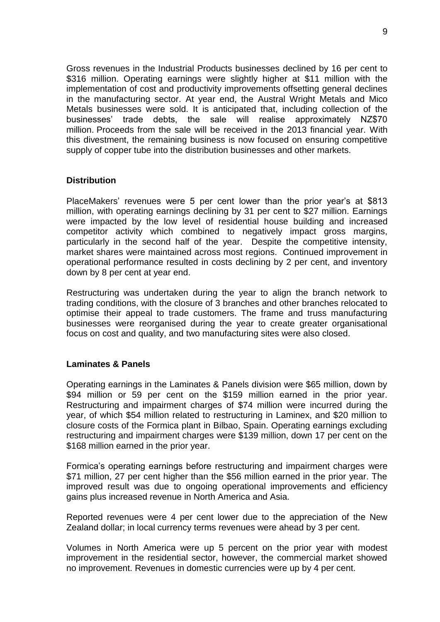Gross revenues in the Industrial Products businesses declined by 16 per cent to \$316 million. Operating earnings were slightly higher at \$11 million with the implementation of cost and productivity improvements offsetting general declines in the manufacturing sector. At year end, the Austral Wright Metals and Mico Metals businesses were sold. It is anticipated that, including collection of the businesses' trade debts, the sale will realise approximately NZ\$70 million. Proceeds from the sale will be received in the 2013 financial year. With this divestment, the remaining business is now focused on ensuring competitive supply of copper tube into the distribution businesses and other markets.

### **Distribution**

PlaceMakers' revenues were 5 per cent lower than the prior year's at \$813 million, with operating earnings declining by 31 per cent to \$27 million. Earnings were impacted by the low level of residential house building and increased competitor activity which combined to negatively impact gross margins, particularly in the second half of the year. Despite the competitive intensity, market shares were maintained across most regions. Continued improvement in operational performance resulted in costs declining by 2 per cent, and inventory down by 8 per cent at year end.

Restructuring was undertaken during the year to align the branch network to trading conditions, with the closure of 3 branches and other branches relocated to optimise their appeal to trade customers. The frame and truss manufacturing businesses were reorganised during the year to create greater organisational focus on cost and quality, and two manufacturing sites were also closed.

### **Laminates & Panels**

Operating earnings in the Laminates & Panels division were \$65 million, down by \$94 million or 59 per cent on the \$159 million earned in the prior year. Restructuring and impairment charges of \$74 million were incurred during the year, of which \$54 million related to restructuring in Laminex, and \$20 million to closure costs of the Formica plant in Bilbao, Spain. Operating earnings excluding restructuring and impairment charges were \$139 million, down 17 per cent on the \$168 million earned in the prior year.

Formica's operating earnings before restructuring and impairment charges were \$71 million, 27 per cent higher than the \$56 million earned in the prior year. The improved result was due to ongoing operational improvements and efficiency gains plus increased revenue in North America and Asia.

Reported revenues were 4 per cent lower due to the appreciation of the New Zealand dollar; in local currency terms revenues were ahead by 3 per cent.

Volumes in North America were up 5 percent on the prior year with modest improvement in the residential sector, however, the commercial market showed no improvement. Revenues in domestic currencies were up by 4 per cent.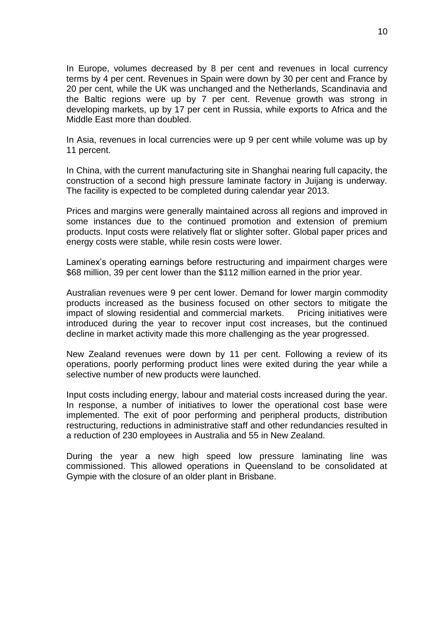In Europe, volumes decreased by 8 per cent and revenues in local currency terms by 4 per cent. Revenues in Spain were down by 30 per cent and France by 20 per cent, while the UK was unchanged and the Netherlands, Scandinavia and the Baltic regions were up by 7 per cent. Revenue growth was strong in developing markets, up by 17 per cent in Russia, while exports to Africa and the Middle East more than doubled.

In Asia, revenues in local currencies were up 9 per cent while volume was up by 11 percent.

In China, with the current manufacturing site in Shanghai nearing full capacity, the construction of a second high pressure laminate factory in Juijang is underway. The facility is expected to be completed during calendar year 2013.

Prices and margins were generally maintained across all regions and improved in some instances due to the continued promotion and extension of premium products. Input costs were relatively flat or slighter softer. Global paper prices and energy costs were stable, while resin costs were lower.

Laminex's operating earnings before restructuring and impairment charges were \$68 million, 39 per cent lower than the \$112 million earned in the prior year.

Australian revenues were 9 per cent lower. Demand for lower margin commodity products increased as the business focused on other sectors to mitigate the impact of slowing residential and commercial markets. Pricing initiatives were introduced during the year to recover input cost increases, but the continued decline in market activity made this more challenging as the year progressed.

New Zealand revenues were down by 11 per cent. Following a review of its operations, poorly performing product lines were exited during the year while a selective number of new products were launched.

Input costs including energy, labour and material costs increased during the year. In response, a number of initiatives to lower the operational cost base were implemented. The exit of poor performing and peripheral products, distribution restructuring, reductions in administrative staff and other redundancies resulted in a reduction of 230 employees in Australia and 55 in New Zealand.

During the year a new high speed low pressure laminating line was commissioned. This allowed operations in Queensland to be consolidated at Gympie with the closure of an older plant in Brisbane.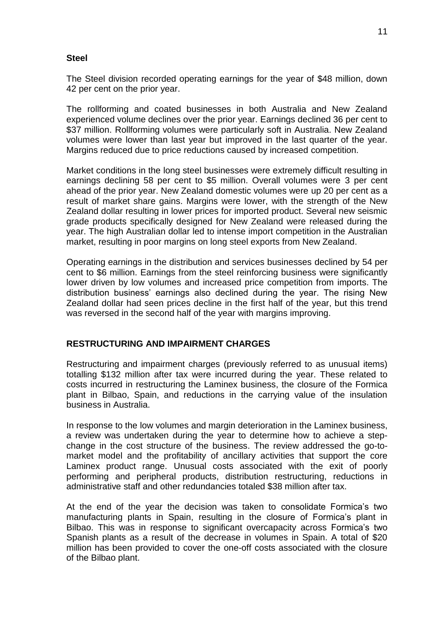### **Steel**

The Steel division recorded operating earnings for the year of \$48 million, down 42 per cent on the prior year.

The rollforming and coated businesses in both Australia and New Zealand experienced volume declines over the prior year. Earnings declined 36 per cent to \$37 million. Rollforming volumes were particularly soft in Australia. New Zealand volumes were lower than last year but improved in the last quarter of the year. Margins reduced due to price reductions caused by increased competition.

Market conditions in the long steel businesses were extremely difficult resulting in earnings declining 58 per cent to \$5 million. Overall volumes were 3 per cent ahead of the prior year. New Zealand domestic volumes were up 20 per cent as a result of market share gains. Margins were lower, with the strength of the New Zealand dollar resulting in lower prices for imported product. Several new seismic grade products specifically designed for New Zealand were released during the year. The high Australian dollar led to intense import competition in the Australian market, resulting in poor margins on long steel exports from New Zealand.

Operating earnings in the distribution and services businesses declined by 54 per cent to \$6 million. Earnings from the steel reinforcing business were significantly lower driven by low volumes and increased price competition from imports. The distribution business' earnings also declined during the year. The rising New Zealand dollar had seen prices decline in the first half of the year, but this trend was reversed in the second half of the year with margins improving.

# **RESTRUCTURING AND IMPAIRMENT CHARGES**

Restructuring and impairment charges (previously referred to as unusual items) totalling \$132 million after tax were incurred during the year. These related to costs incurred in restructuring the Laminex business, the closure of the Formica plant in Bilbao, Spain, and reductions in the carrying value of the insulation business in Australia.

In response to the low volumes and margin deterioration in the Laminex business, a review was undertaken during the year to determine how to achieve a stepchange in the cost structure of the business. The review addressed the go-tomarket model and the profitability of ancillary activities that support the core Laminex product range. Unusual costs associated with the exit of poorly performing and peripheral products, distribution restructuring, reductions in administrative staff and other redundancies totaled \$38 million after tax.

At the end of the year the decision was taken to consolidate Formica's two manufacturing plants in Spain, resulting in the closure of Formica's plant in Bilbao. This was in response to significant overcapacity across Formica's two Spanish plants as a result of the decrease in volumes in Spain. A total of \$20 million has been provided to cover the one-off costs associated with the closure of the Bilbao plant.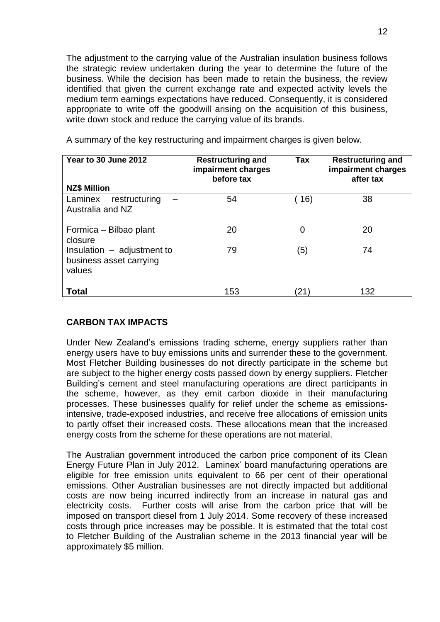The adjustment to the carrying value of the Australian insulation business follows the strategic review undertaken during the year to determine the future of the business. While the decision has been made to retain the business, the review identified that given the current exchange rate and expected activity levels the medium term earnings expectations have reduced. Consequently, it is considered appropriate to write off the goodwill arising on the acquisition of this business, write down stock and reduce the carrying value of its brands.

| Year to 30 June 2012<br><b>NZ\$ Million</b>                       | <b>Restructuring and</b><br>impairment charges<br>before tax | <b>Tax</b> | <b>Restructuring and</b><br>impairment charges<br>after tax |
|-------------------------------------------------------------------|--------------------------------------------------------------|------------|-------------------------------------------------------------|
| Laminex<br>restructuring<br>Australia and NZ                      | 54                                                           | 16)        | 38                                                          |
| Formica - Bilbao plant<br>closure                                 | 20                                                           | 0          | 20                                                          |
| Insulation $-$ adjustment to<br>business asset carrying<br>values | 79                                                           | (5)        | 74                                                          |
| <b>Total</b>                                                      | 153                                                          | (21)       | 132                                                         |

A summary of the key restructuring and impairment charges is given below.

# **CARBON TAX IMPACTS**

Under New Zealand's emissions trading scheme, energy suppliers rather than energy users have to buy emissions units and surrender these to the government. Most Fletcher Building businesses do not directly participate in the scheme but are subject to the higher energy costs passed down by energy suppliers. Fletcher Building's cement and steel manufacturing operations are direct participants in the scheme, however, as they emit carbon dioxide in their manufacturing processes. These businesses qualify for relief under the scheme as emissionsintensive, trade-exposed industries, and receive free allocations of emission units to partly offset their increased costs. These allocations mean that the increased energy costs from the scheme for these operations are not material.

The Australian government introduced the carbon price component of its Clean Energy Future Plan in July 2012. Laminex' board manufacturing operations are eligible for free emission units equivalent to 66 per cent of their operational emissions. Other Australian businesses are not directly impacted but additional costs are now being incurred indirectly from an increase in natural gas and electricity costs. Further costs will arise from the carbon price that will be imposed on transport diesel from 1 July 2014. Some recovery of these increased costs through price increases may be possible. It is estimated that the total cost to Fletcher Building of the Australian scheme in the 2013 financial year will be approximately \$5 million.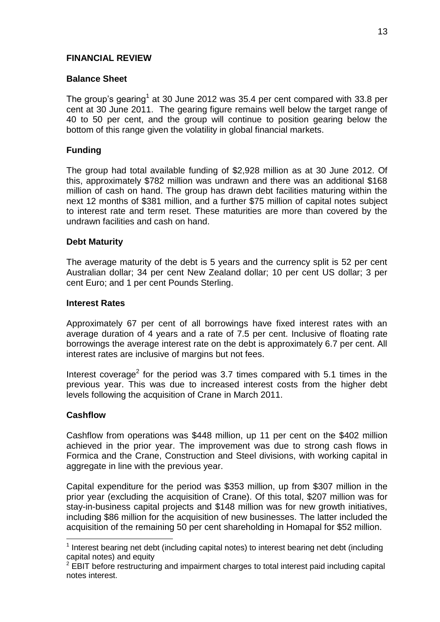# **FINANCIAL REVIEW**

# **Balance Sheet**

The group's gearing<sup>1</sup> at 30 June 2012 was 35.4 per cent compared with 33.8 per cent at 30 June 2011. The gearing figure remains well below the target range of 40 to 50 per cent, and the group will continue to position gearing below the bottom of this range given the volatility in global financial markets.

# **Funding**

The group had total available funding of \$2,928 million as at 30 June 2012. Of this, approximately \$782 million was undrawn and there was an additional \$168 million of cash on hand. The group has drawn debt facilities maturing within the next 12 months of \$381 million, and a further \$75 million of capital notes subject to interest rate and term reset. These maturities are more than covered by the undrawn facilities and cash on hand.

### **Debt Maturity**

The average maturity of the debt is 5 years and the currency split is 52 per cent Australian dollar; 34 per cent New Zealand dollar; 10 per cent US dollar; 3 per cent Euro; and 1 per cent Pounds Sterling.

### **Interest Rates**

Approximately 67 per cent of all borrowings have fixed interest rates with an average duration of 4 years and a rate of 7.5 per cent. Inclusive of floating rate borrowings the average interest rate on the debt is approximately 6.7 per cent. All interest rates are inclusive of margins but not fees.

Interest coverage<sup>2</sup> for the period was 3.7 times compared with 5.1 times in the previous year. This was due to increased interest costs from the higher debt levels following the acquisition of Crane in March 2011.

# **Cashflow**

 $\overline{a}$ 

Cashflow from operations was \$448 million, up 11 per cent on the \$402 million achieved in the prior year. The improvement was due to strong cash flows in Formica and the Crane, Construction and Steel divisions, with working capital in aggregate in line with the previous year.

Capital expenditure for the period was \$353 million, up from \$307 million in the prior year (excluding the acquisition of Crane). Of this total, \$207 million was for stay-in-business capital projects and \$148 million was for new growth initiatives, including \$86 million for the acquisition of new businesses. The latter included the acquisition of the remaining 50 per cent shareholding in Homapal for \$52 million.

<sup>&</sup>lt;sup>1</sup> Interest bearing net debt (including capital notes) to interest bearing net debt (including capital notes) and equity

 $2$  EBIT before restructuring and impairment charges to total interest paid including capital notes interest.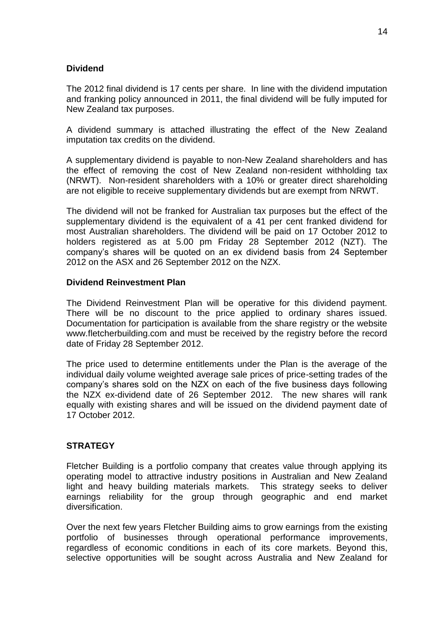# **Dividend**

The 2012 final dividend is 17 cents per share. In line with the dividend imputation and franking policy announced in 2011, the final dividend will be fully imputed for New Zealand tax purposes.

A dividend summary is attached illustrating the effect of the New Zealand imputation tax credits on the dividend.

A supplementary dividend is payable to non-New Zealand shareholders and has the effect of removing the cost of New Zealand non-resident withholding tax (NRWT). Non-resident shareholders with a 10% or greater direct shareholding are not eligible to receive supplementary dividends but are exempt from NRWT.

The dividend will not be franked for Australian tax purposes but the effect of the supplementary dividend is the equivalent of a 41 per cent franked dividend for most Australian shareholders. The dividend will be paid on 17 October 2012 to holders registered as at 5.00 pm Friday 28 September 2012 (NZT). The company's shares will be quoted on an ex dividend basis from 24 September 2012 on the ASX and 26 September 2012 on the NZX.

### **Dividend Reinvestment Plan**

The Dividend Reinvestment Plan will be operative for this dividend payment. There will be no discount to the price applied to ordinary shares issued. Documentation for participation is available from the share registry or the website www.fletcherbuilding.com and must be received by the registry before the record date of Friday 28 September 2012.

The price used to determine entitlements under the Plan is the average of the individual daily volume weighted average sale prices of price-setting trades of the company's shares sold on the NZX on each of the five business days following the NZX ex-dividend date of 26 September 2012. The new shares will rank equally with existing shares and will be issued on the dividend payment date of 17 October 2012.

### **STRATEGY**

Fletcher Building is a portfolio company that creates value through applying its operating model to attractive industry positions in Australian and New Zealand light and heavy building materials markets. This strategy seeks to deliver earnings reliability for the group through geographic and end market diversification.

Over the next few years Fletcher Building aims to grow earnings from the existing portfolio of businesses through operational performance improvements, regardless of economic conditions in each of its core markets. Beyond this, selective opportunities will be sought across Australia and New Zealand for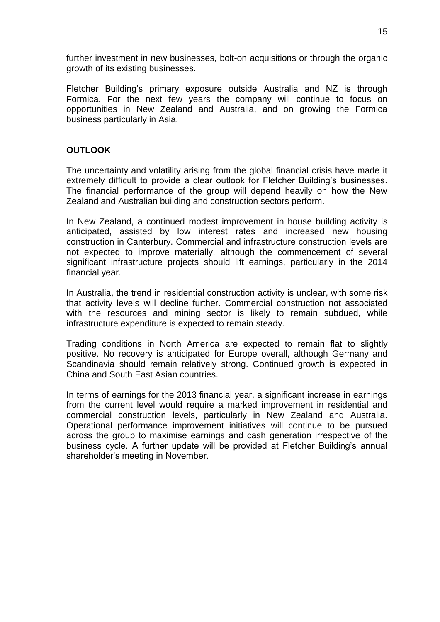further investment in new businesses, bolt-on acquisitions or through the organic growth of its existing businesses.

Fletcher Building's primary exposure outside Australia and NZ is through Formica. For the next few years the company will continue to focus on opportunities in New Zealand and Australia, and on growing the Formica business particularly in Asia.

# **OUTLOOK**

The uncertainty and volatility arising from the global financial crisis have made it extremely difficult to provide a clear outlook for Fletcher Building's businesses. The financial performance of the group will depend heavily on how the New Zealand and Australian building and construction sectors perform.

In New Zealand, a continued modest improvement in house building activity is anticipated, assisted by low interest rates and increased new housing construction in Canterbury. Commercial and infrastructure construction levels are not expected to improve materially, although the commencement of several significant infrastructure projects should lift earnings, particularly in the 2014 financial year.

In Australia, the trend in residential construction activity is unclear, with some risk that activity levels will decline further. Commercial construction not associated with the resources and mining sector is likely to remain subdued, while infrastructure expenditure is expected to remain steady.

Trading conditions in North America are expected to remain flat to slightly positive. No recovery is anticipated for Europe overall, although Germany and Scandinavia should remain relatively strong. Continued growth is expected in China and South East Asian countries.

In terms of earnings for the 2013 financial year, a significant increase in earnings from the current level would require a marked improvement in residential and commercial construction levels, particularly in New Zealand and Australia. Operational performance improvement initiatives will continue to be pursued across the group to maximise earnings and cash generation irrespective of the business cycle. A further update will be provided at Fletcher Building's annual shareholder's meeting in November.